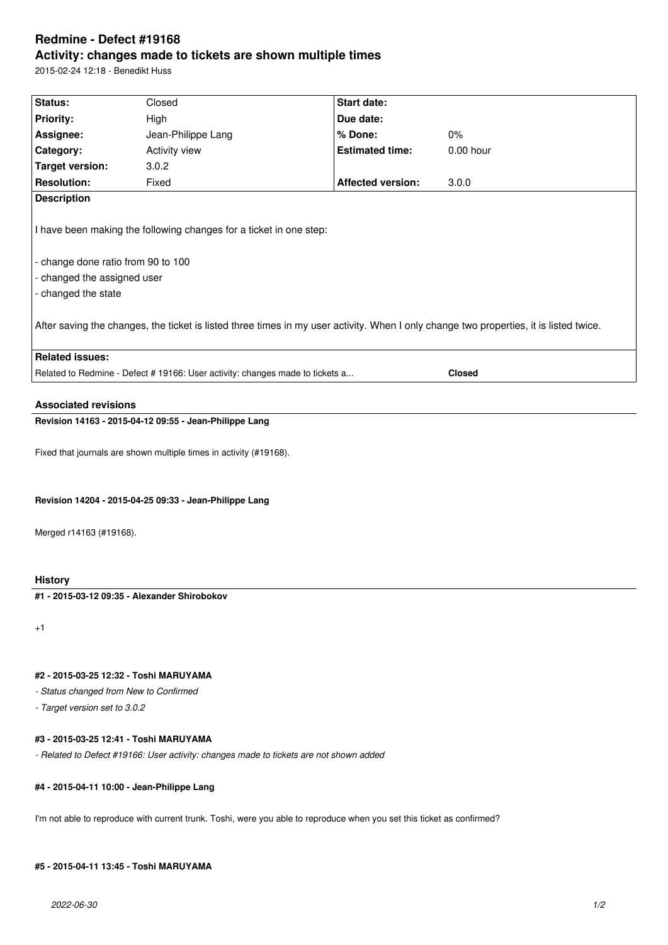# **Redmine - Defect #19168 Activity: changes made to tickets are shown multiple times**

2015-02-24 12:18 - Benedikt Huss

| Status:                                                                                                                                                        | Closed                                                             | <b>Start date:</b>       |             |  |  |
|----------------------------------------------------------------------------------------------------------------------------------------------------------------|--------------------------------------------------------------------|--------------------------|-------------|--|--|
| <b>Priority:</b>                                                                                                                                               | High                                                               | Due date:                |             |  |  |
| Assignee:                                                                                                                                                      | Jean-Philippe Lang                                                 | % Done:                  | 0%          |  |  |
| Category:                                                                                                                                                      | <b>Activity view</b>                                               | <b>Estimated time:</b>   | $0.00$ hour |  |  |
| Target version:                                                                                                                                                | 3.0.2                                                              |                          |             |  |  |
| <b>Resolution:</b>                                                                                                                                             | Fixed                                                              | <b>Affected version:</b> | 3.0.0       |  |  |
| <b>Description</b>                                                                                                                                             |                                                                    |                          |             |  |  |
| I have been making the following changes for a ticket in one step:<br>- change done ratio from 90 to 100<br>- changed the assigned user<br>- changed the state |                                                                    |                          |             |  |  |
| After saving the changes, the ticket is listed three times in my user activity. When I only change two properties, it is listed twice.                         |                                                                    |                          |             |  |  |
| <b>Related issues:</b>                                                                                                                                         |                                                                    |                          |             |  |  |
| Related to Redmine - Defect # 19166: User activity: changes made to tickets a<br><b>Closed</b>                                                                 |                                                                    |                          |             |  |  |
|                                                                                                                                                                |                                                                    |                          |             |  |  |
| <b>Associated revisions</b>                                                                                                                                    |                                                                    |                          |             |  |  |
| Revision 14163 - 2015-04-12 09:55 - Jean-Philippe Lang                                                                                                         |                                                                    |                          |             |  |  |
|                                                                                                                                                                | Fixed that journals are shown multiple times in activity (#19168). |                          |             |  |  |

**Revision 14204 - 2015-04-25 09:33 - Jean-Philippe Lang**

Merged r14163 (#19168).

**History**

**#1 - 2015-03-12 09:35 - Alexander Shirobokov**

+1

### **#2 - 2015-03-25 12:32 - Toshi MARUYAMA**

*- Status changed from New to Confirmed*

*- Target version set to 3.0.2*

### **#3 - 2015-03-25 12:41 - Toshi MARUYAMA**

*- Related to Defect #19166: User activity: changes made to tickets are not shown added*

### **#4 - 2015-04-11 10:00 - Jean-Philippe Lang**

I'm not able to reproduce with current trunk. Toshi, were you able to reproduce when you set this ticket as confirmed?

### **#5 - 2015-04-11 13:45 - Toshi MARUYAMA**